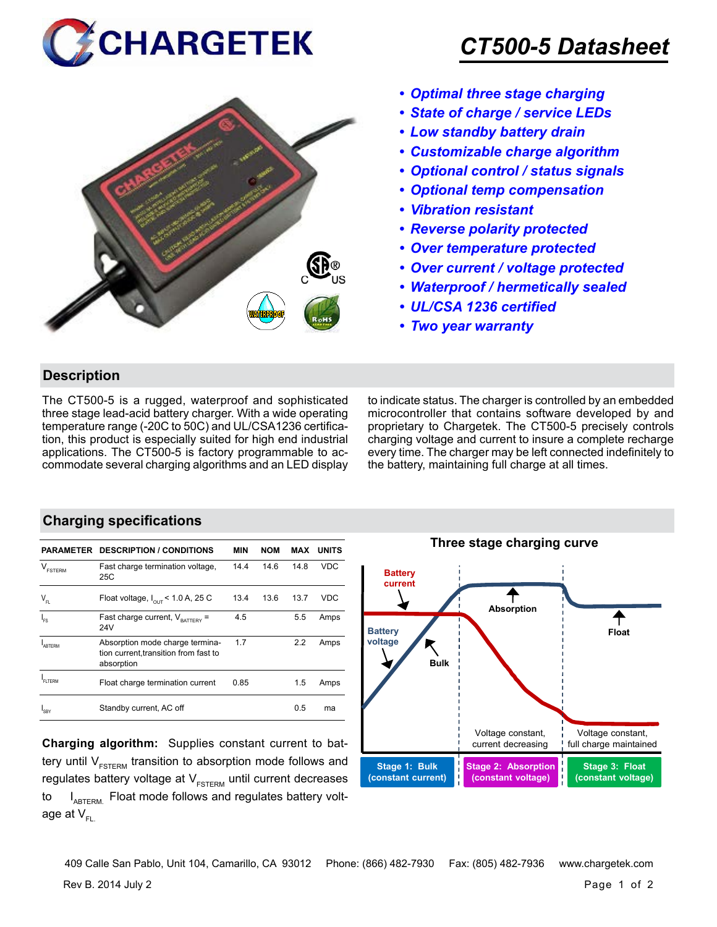



# *CT500-5 Datasheet*

- *• Optimal three stage charging*
- *• State of charge / service LEDs*
- *• Low standby battery drain*
- *• Customizable charge algorithm*
- *• Optional control / status signals*
- *• Optional temp compensation*
- *• Vibration resistant*
- *• Reverse polarity protected*
- *• Over temperature protected*
- *• Over current / voltage protected*
- *• Waterproof / hermetically sealed*
- *• UL/CSA 1236 certified*
- *• Two year warranty*

#### **Description**

The CT500-5 is a rugged, waterproof and sophisticated three stage lead-acid battery charger. With a wide operating temperature range (-20C to 50C) and UL/CSA1236 certification, this product is especially suited for high end industrial applications. The CT500-5 is factory programmable to accommodate several charging algorithms and an LED display to indicate status. The charger is controlled by an embedded microcontroller that contains software developed by and proprietary to Chargetek. The CT500-5 precisely controls charging voltage and current to insure a complete recharge every time. The charger may be left connected indefinitely to the battery, maintaining full charge at all times.

#### **Charging specifications**

| PARAMETER                      | <b>DESCRIPTION / CONDITIONS</b>                                                        | MIN  | <b>NOM</b> | MAX  | <b>UNITS</b> |
|--------------------------------|----------------------------------------------------------------------------------------|------|------------|------|--------------|
| $\mathsf{V}_{\texttt{FSTERM}}$ | Fast charge termination voltage,<br>25C                                                | 14.4 | 14.6       | 14.8 | <b>VDC</b>   |
| $V_{\text{FI}}$                | Float voltage, $I_{\text{out}}$ < 1.0 A, 25 C                                          | 13.4 | 13.6       | 13.7 | <b>VDC</b>   |
| $I_{FS}$                       | Fast charge current, $V_{\text{raffley}} =$<br>24V                                     | 4.5  |            | 5.5  | Amps         |
| ARTFRM                         | Absorption mode charge termina-<br>tion current, transition from fast to<br>absorption | 1.7  |            | 2.2  | Amps         |
| FI TERM                        | Float charge termination current                                                       | 0.85 |            | 1.5  | Amps         |
| 'SBY                           | Standby current, AC off                                                                |      |            | 0.5  | ma           |

**Charging algorithm:** Supplies constant current to battery until  $V_{ESTERM}$  transition to absorption mode follows and regulates battery voltage at  $V_{ESTFRM}$  until current decreases to  $I_{ABTERM}$ . Float mode follows and regulates battery voltage at  $V_{\text{F}}$ 



Rev B. 2014 July 2 Page 1 of 2 409 Calle San Pablo, Unit 104, Camarillo, CA 93012 Phone: (866) 482-7930 Fax: (805) 482-7936 www.chargetek.com

**Three stage charging curve**